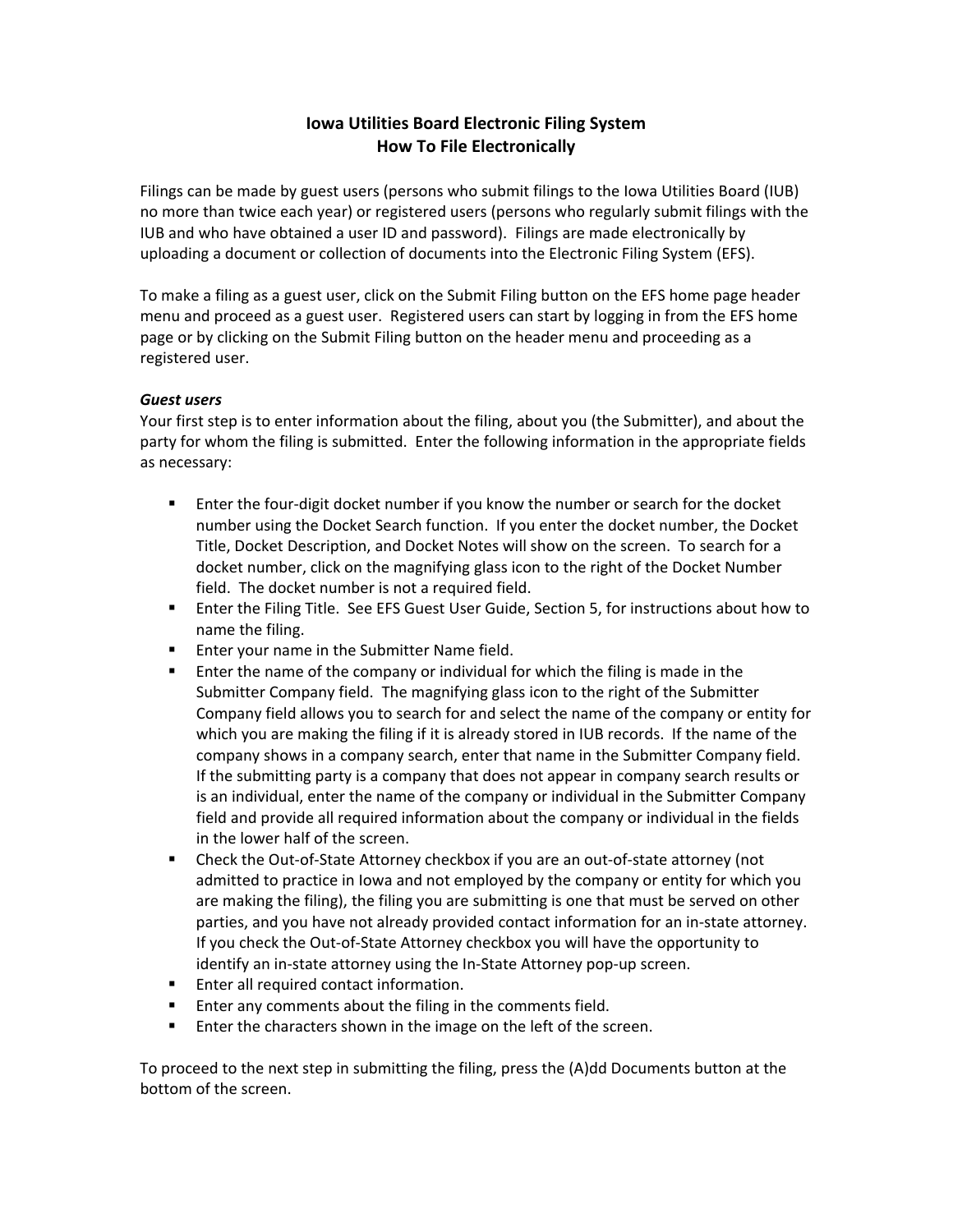## **Iowa Utilities Board Electronic Filing System How To File Electronically**

Filings can be made by guest users (persons who submit filings to the Iowa Utilities Board (IUB) no more than twice each year) or registered users (persons who regularly submit filings with the IUB and who have obtained a user ID and password). Filings are made electronically by uploading a document or collection of documents into the Electronic Filing System (EFS).

To make a filing as a guest user, click on the Submit Filing button on the EFS home page header menu and proceed as a guest user. Registered users can start by logging in from the EFS home page or by clicking on the Submit Filing button on the header menu and proceeding as a registered user.

## *Guest users*

Your first step is to enter information about the filing, about you (the Submitter), and about the party for whom the filing is submitted. Enter the following information in the appropriate fields as necessary:

- Enter the four-digit docket number if you know the number or search for the docket number using the Docket Search function. If you enter the docket number, the Docket Title, Docket Description, and Docket Notes will show on the screen. To search for a docket number, click on the magnifying glass icon to the right of the Docket Number field. The docket number is not a required field.
- Enter the Filing Title. See EFS Guest User Guide, Section 5, for instructions about how to name the filing.
- **Enter your name in the Submitter Name field.**
- **Enter the name of the company or individual for which the filing is made in the** Submitter Company field. The magnifying glass icon to the right of the Submitter Company field allows you to search for and select the name of the company or entity for which you are making the filing if it is already stored in IUB records. If the name of the company shows in a company search, enter that name in the Submitter Company field. If the submitting party is a company that does not appear in company search results or is an individual, enter the name of the company or individual in the Submitter Company field and provide all required information about the company or individual in the fields in the lower half of the screen.
- Check the Out-of-State Attorney checkbox if you are an out-of-state attorney (not admitted to practice in Iowa and not employed by the company or entity for which you are making the filing), the filing you are submitting is one that must be served on other parties, and you have not already provided contact information for an in‐state attorney. If you check the Out‐of‐State Attorney checkbox you will have the opportunity to identify an in‐state attorney using the In‐State Attorney pop‐up screen.
- **Enter all required contact information.**
- Enter any comments about the filing in the comments field.
- **Enter the characters shown in the image on the left of the screen.**

To proceed to the next step in submitting the filing, press the (A)dd Documents button at the bottom of the screen.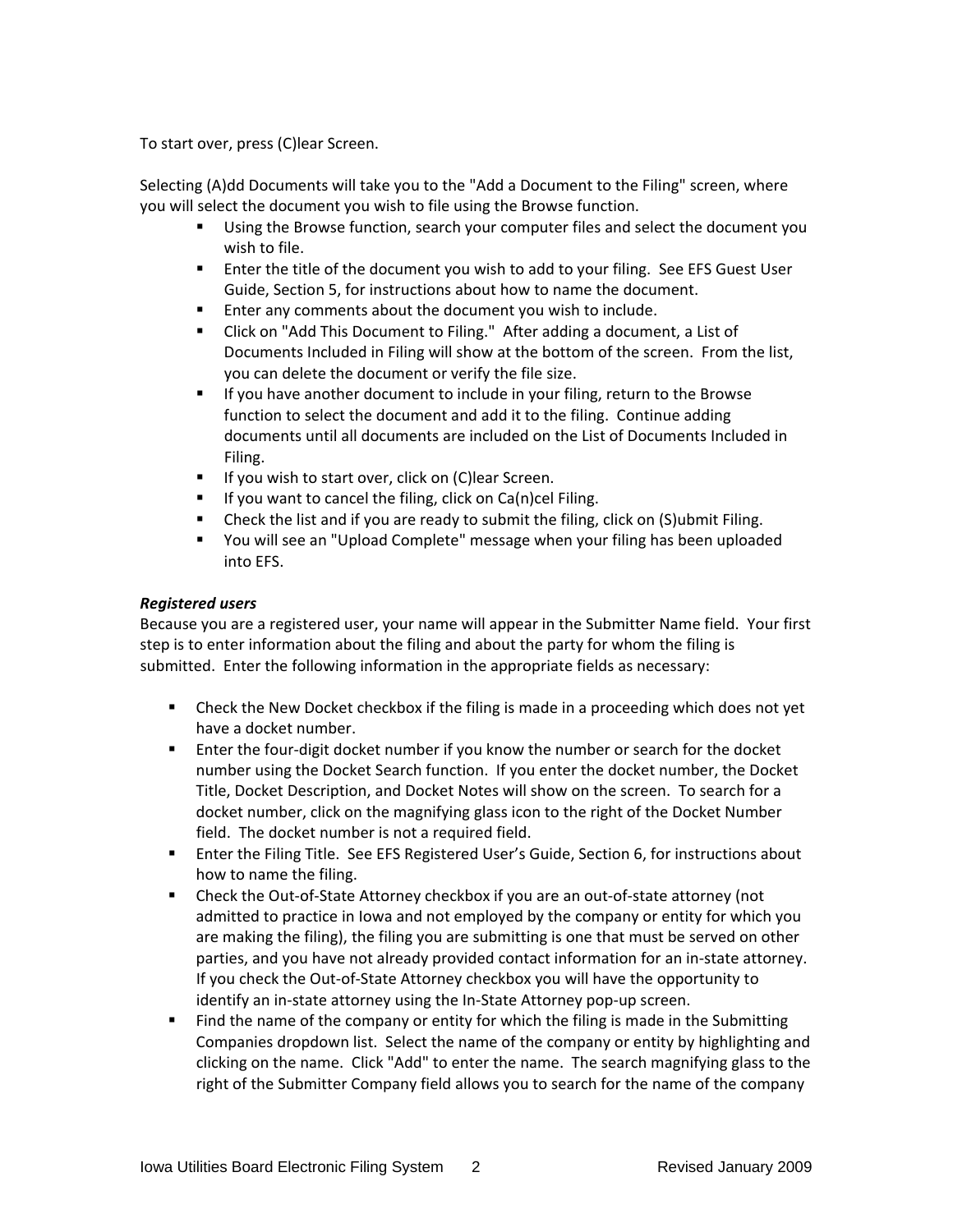To start over, press (C)lear Screen.

Selecting (A)dd Documents will take you to the "Add a Document to the Filing" screen, where you will select the document you wish to file using the Browse function.

- Using the Browse function, search your computer files and select the document you wish to file.
- Enter the title of the document you wish to add to your filing. See EFS Guest User Guide, Section 5, for instructions about how to name the document.
- **Enter any comments about the document you wish to include.**
- Click on "Add This Document to Filing." After adding a document, a List of Documents Included in Filing will show at the bottom of the screen. From the list, you can delete the document or verify the file size.
- If you have another document to include in your filing, return to the Browse function to select the document and add it to the filing. Continue adding documents until all documents are included on the List of Documents Included in Filing.
- **If you wish to start over, click on (C)lear Screen.**
- $\blacksquare$  If you want to cancel the filing, click on Ca(n)cel Filing.
- Check the list and if you are ready to submit the filing, click on (S)ubmit Filing.
- You will see an "Upload Complete" message when your filing has been uploaded into EFS.

## *Registered users*

Because you are a registered user, your name will appear in the Submitter Name field. Your first step is to enter information about the filing and about the party for whom the filing is submitted. Enter the following information in the appropriate fields as necessary:

- Check the New Docket checkbox if the filing is made in a proceeding which does not yet have a docket number.
- Enter the four-digit docket number if you know the number or search for the docket number using the Docket Search function. If you enter the docket number, the Docket Title, Docket Description, and Docket Notes will show on the screen. To search for a docket number, click on the magnifying glass icon to the right of the Docket Number field. The docket number is not a required field.
- Enter the Filing Title. See EFS Registered User's Guide, Section 6, for instructions about how to name the filing.
- Check the Out-of-State Attorney checkbox if you are an out-of-state attorney (not admitted to practice in Iowa and not employed by the company or entity for which you are making the filing), the filing you are submitting is one that must be served on other parties, and you have not already provided contact information for an in‐state attorney. If you check the Out‐of‐State Attorney checkbox you will have the opportunity to identify an in‐state attorney using the In‐State Attorney pop‐up screen.
- **Find the name of the company or entity for which the filing is made in the Submitting** Companies dropdown list. Select the name of the company or entity by highlighting and clicking on the name. Click "Add" to enter the name. The search magnifying glass to the right of the Submitter Company field allows you to search for the name of the company